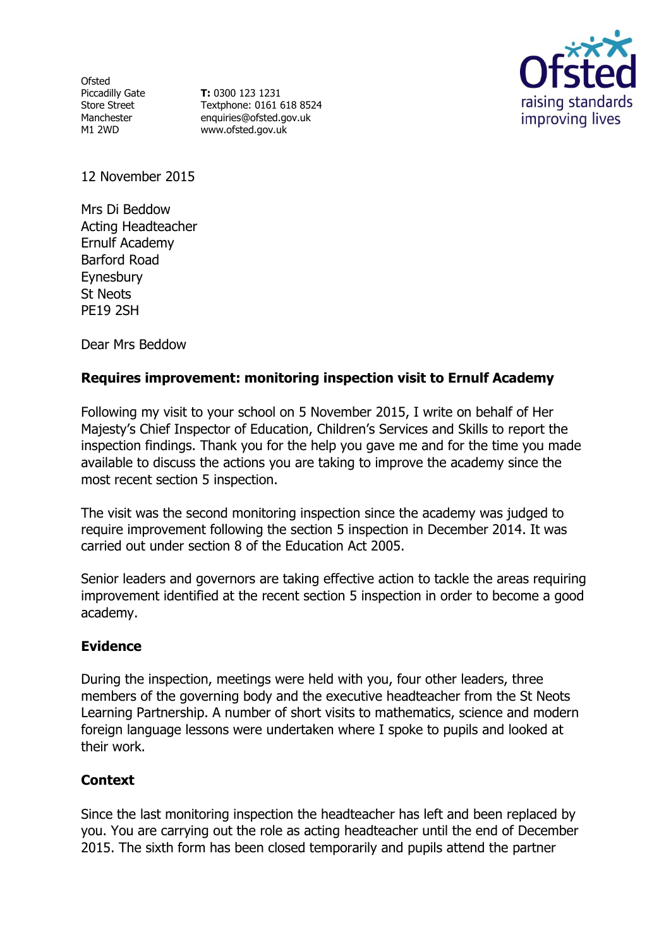Ofsted Piccadilly Gate Store Street Manchester M1 2WD

**T:** 0300 123 1231 Textphone: 0161 618 8524 enquiries@ofsted.gov.uk www.ofsted.gov.uk



12 November 2015

Mrs Di Beddow Acting Headteacher Ernulf Academy Barford Road Eynesbury St Neots PE19 2SH

Dear Mrs Beddow

# **Requires improvement: monitoring inspection visit to Ernulf Academy**

Following my visit to your school on 5 November 2015, I write on behalf of Her Majesty's Chief Inspector of Education, Children's Services and Skills to report the inspection findings. Thank you for the help you gave me and for the time you made available to discuss the actions you are taking to improve the academy since the most recent section 5 inspection.

The visit was the second monitoring inspection since the academy was judged to require improvement following the section 5 inspection in December 2014. It was carried out under section 8 of the Education Act 2005.

Senior leaders and governors are taking effective action to tackle the areas requiring improvement identified at the recent section 5 inspection in order to become a good academy.

## **Evidence**

During the inspection, meetings were held with you, four other leaders, three members of the governing body and the executive headteacher from the St Neots Learning Partnership. A number of short visits to mathematics, science and modern foreign language lessons were undertaken where I spoke to pupils and looked at their work.

## **Context**

Since the last monitoring inspection the headteacher has left and been replaced by you. You are carrying out the role as acting headteacher until the end of December 2015. The sixth form has been closed temporarily and pupils attend the partner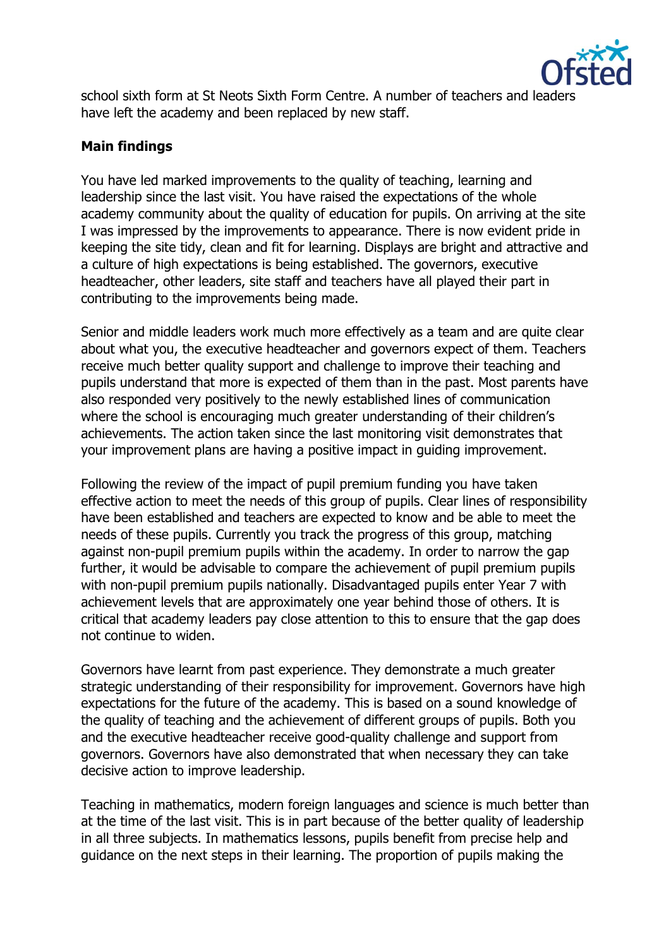

school sixth form at St Neots Sixth Form Centre. A number of teachers and leaders have left the academy and been replaced by new staff.

## **Main findings**

You have led marked improvements to the quality of teaching, learning and leadership since the last visit. You have raised the expectations of the whole academy community about the quality of education for pupils. On arriving at the site I was impressed by the improvements to appearance. There is now evident pride in keeping the site tidy, clean and fit for learning. Displays are bright and attractive and a culture of high expectations is being established. The governors, executive headteacher, other leaders, site staff and teachers have all played their part in contributing to the improvements being made.

Senior and middle leaders work much more effectively as a team and are quite clear about what you, the executive headteacher and governors expect of them. Teachers receive much better quality support and challenge to improve their teaching and pupils understand that more is expected of them than in the past. Most parents have also responded very positively to the newly established lines of communication where the school is encouraging much greater understanding of their children's achievements. The action taken since the last monitoring visit demonstrates that your improvement plans are having a positive impact in guiding improvement.

Following the review of the impact of pupil premium funding you have taken effective action to meet the needs of this group of pupils. Clear lines of responsibility have been established and teachers are expected to know and be able to meet the needs of these pupils. Currently you track the progress of this group, matching against non-pupil premium pupils within the academy. In order to narrow the gap further, it would be advisable to compare the achievement of pupil premium pupils with non-pupil premium pupils nationally. Disadvantaged pupils enter Year 7 with achievement levels that are approximately one year behind those of others. It is critical that academy leaders pay close attention to this to ensure that the gap does not continue to widen.

Governors have learnt from past experience. They demonstrate a much greater strategic understanding of their responsibility for improvement. Governors have high expectations for the future of the academy. This is based on a sound knowledge of the quality of teaching and the achievement of different groups of pupils. Both you and the executive headteacher receive good-quality challenge and support from governors. Governors have also demonstrated that when necessary they can take decisive action to improve leadership.

Teaching in mathematics, modern foreign languages and science is much better than at the time of the last visit. This is in part because of the better quality of leadership in all three subjects. In mathematics lessons, pupils benefit from precise help and guidance on the next steps in their learning. The proportion of pupils making the